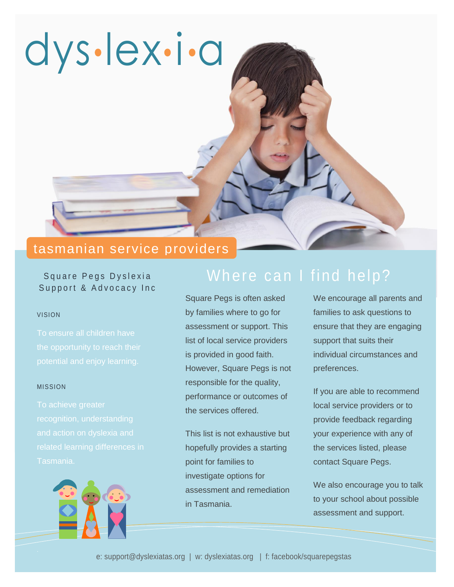

# tasmanian service providers

# Square Pegs Dyslexia Support & Advocacy Inc

#### VISION

#### MISSION



Square Pegs is often asked by families where to go for assessment or support. This list of local service providers is provided in good faith. However, Square Pegs is not responsible for the quality, performance or outcomes of the services offered.

This list is not exhaustive but hopefully provides a starting point for families to investigate options for assessment and remediation in Tasmania.

We encourage all parents and families to ask questions to ensure that they are engaging support that suits their individual circumstances and preferences.

If you are able to recommend local service providers or to provide feedback regarding your experience with any of the services listed, please contact Square Pegs.

We also encourage you to talk to your school about possible assessment and support.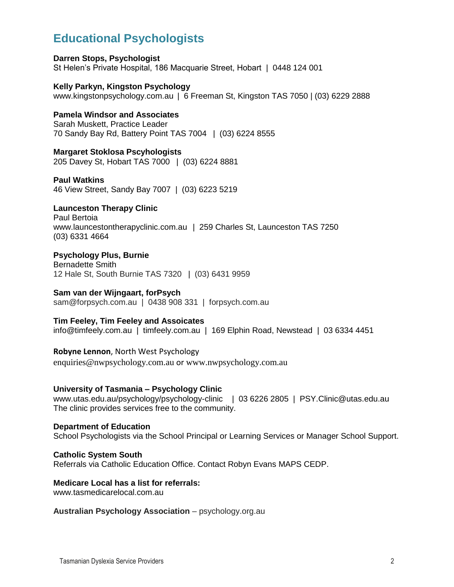# **Educational Psychologists**

**Darren Stops, Psychologist** St Helen's Private Hospital, 186 Macquarie Street, Hobart | 0448 124 001

**Kelly Parkyn, Kingston Psychology** [www.kingstonpsychology.com.au](http://www.kingstonpsychology.com.au/) | 6 Freeman St, Kingston TAS 7050 | (03) 6229 2888

### **Pamela Windsor and Associates**

Sarah Muskett, Practice Leader 70 Sandy Bay Rd, Battery Point TAS 7004 | (03) 6224 8555

**Margaret Stoklosa Pscyhologists** 205 Davey St, Hobart TAS 7000 | (03) 6224 8881

**Paul Watkins** 46 View Street, Sandy Bay 7007 | (03) 6223 5219

**Launceston Therapy Clinic**

Paul Bertoia [www.launcestontherapyclinic.com.au](http://www.launcestontherapyclinic.com.au/) | 259 Charles St, Launceston TAS 7250 (03) 6331 4664

**Psychology Plus, Burnie** Bernadette Smith 12 Hale St, South Burnie TAS 7320 | (03) 6431 9959

**Sam van der Wijngaart, forPsych** [sam@forpsych.com.au](mailto:sam@forpsych.com.au) | 0438 908 331 | [forpsych.com.au](http://www.forpsych.com.au/)

### **Tim Feeley, Tim Feeley and Assoicates**

[info@timfeely.com.au](mailto:info@timfeely.com.au) | timfeely.com.au | 169 Elphin Road, Newstead | 03 6334 4451

**Robyne Lennon**, North West Psychology

[enquiries@nwpsychology.com.au](mailto:enquiries@nwpsychology.com.au) or [www.nwpsychology.com.au](http://www.nwpsychology.com.au/)

#### **University of Tasmania – Psychology Clinic**

[www.utas.edu.au/psychology/psychology-clinic](http://www.utas.edu.au/psychology/psychology-clinic) | 03 6226 2805 | [PSY.Clinic@utas.edu.au](mailto:PSY.Clinic@utas.edu.au) The clinic provides services free to the community.

**Department of Education** School Psychologists via the School Principal or Learning Services or Manager School Support.

#### **Catholic System South**

Referrals via Catholic Education Office. Contact Robyn Evans MAPS CEDP.

# **Medicare Local has a list for referrals:**

www.tasmedicarelocal.com.au

**Australian Psychology Association** – psychology.org.au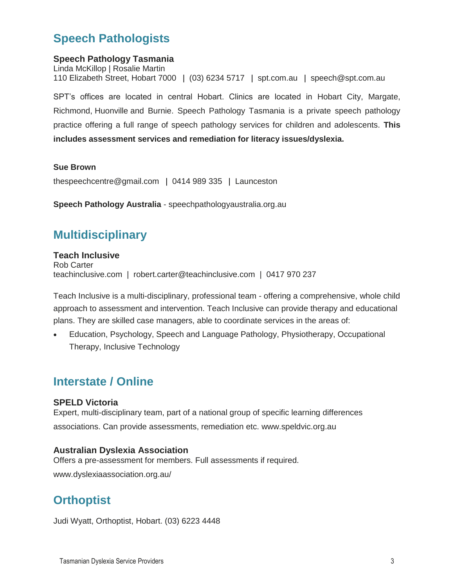# **Speech Pathologists**

## **Speech Pathology Tasmania**

Linda McKillop | Rosalie Martin 110 Elizabeth Street, Hobart 7000 | (03) 6234 5717 | spt.com.au | [speech@spt.com.au](mailto:speech@spt.com.au)

SPT's offices are located in central Hobart. Clinics are located in [Hobart City,](http://spt.com.au/other-clinics) [Margate,](http://spt.com.au/other-clinics) [Richmond,](http://spt.com.au/other-clinics) [Huonville](http://spt.com.au/other-clinics) and [Burnie.](http://spt.com.au/other-clinics) Speech Pathology Tasmania is a private speech pathology practice offering a full range of speech pathology services for children and adolescents. **This includes assessment services and remediation for literacy issues/dyslexia.**

#### **Sue Brown**

[thespeechcentre@gmail.com](mailto:thespeechcentre%40gmail.com) | 0414 989 335 | Launceston

**Speech Pathology Australia** - speechpathologyaustralia.org.au

# **Multidisciplinary**

#### **Teach Inclusive** Rob Carter teachinclusive.com | [robert.carter@teachinclusive.com](mailto:robert.carter@teachinclusive.com) | 0417 970 237

Teach Inclusive is a multi-disciplinary, professional team - offering a comprehensive, whole child approach to assessment and intervention. Teach Inclusive can provide therapy and educational plans. They are skilled case managers, able to coordinate services in the areas of:

 Education, Psychology, Speech and Language Pathology, Physiotherapy, Occupational Therapy, Inclusive Technology

# **Interstate / Online**

### **SPELD Victoria**

Expert, multi-disciplinary team, part of a national group of specific learning differences associations. Can provide assessments, remediation etc. www.speldvic.org.au

### **Australian Dyslexia Association**

Offers a pre-assessment for members. Full assessments if required.

www.dyslexiaassociation.org.au/

# **Orthoptist**

Judi Wyatt, Orthoptist, Hobart. (03) 6223 4448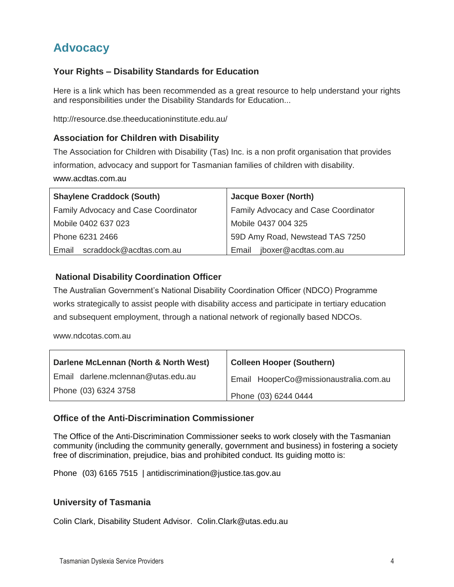# **Advocacy**

# **Your Rights – Disability Standards for Education**

Here is a link which has been recommended as a great resource to help understand your rights and responsibilities under the Disability Standards for Education...

<http://resource.dse.theeducationinstitute.edu.au/>

## **Association for Children with Disability**

The Association for Children with Disability (Tas) Inc. is a non profit organisation that provides information, advocacy and support for Tasmanian families of children with disability.

[www.acdtas.com.au](http://www.acdtas.com.au/)

| <b>Shaylene Craddock (South)</b>     | <b>Jacque Boxer (North)</b>          |
|--------------------------------------|--------------------------------------|
| Family Advocacy and Case Coordinator | Family Advocacy and Case Coordinator |
| Mobile 0402 637 023                  | Mobile 0437 004 325                  |
| Phone 6231 2466                      | 59D Amy Road, Newstead TAS 7250      |
| scraddock@acdtas.com.au<br>Email     | jboxer@acdtas.com.au<br>Email        |

## **National Disability Coordination Officer**

The Australian Government's National Disability Coordination Officer (NDCO) Programme works strategically to assist people with disability access and participate in tertiary education and subsequent employment, through a national network of regionally based NDCOs.

www.ndcotas.com.au

| Darlene McLennan (North & North West) | <b>Colleen Hooper (Southern)</b>       |
|---------------------------------------|----------------------------------------|
| Email darlene.mclennan@utas.edu.au    | Email HooperCo@missionaustralia.com.au |
| Phone (03) 6324 3758                  | Phone (03) 6244 0444                   |

## **Office of the Anti-Discrimination Commissioner**

The Office of the Anti-Discrimination Commissioner seeks to work closely with the Tasmanian community (including the community generally, government and business) in fostering a society free of discrimination, prejudice, bias and prohibited conduct. Its guiding motto is:

Phone (03) 6165 7515 | [antidiscrimination@justice.tas.gov.au](mailto:antidiscrimination@justice.tas.gov.au)

### **University of Tasmania**

Colin Clark, Disability Student Advisor. [Colin.Clark@utas.edu.au](mailto:Colin.Clark@utas.edu.au)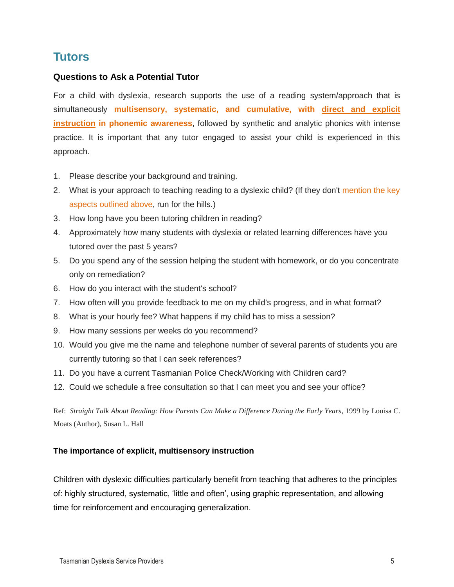# **Tutors**

## **Questions to Ask a Potential Tutor**

For a child with dyslexia, research supports the use of a reading system/approach that is simultaneously **multisensory, systematic, and cumulative, with direct and explicit instruction in phonemic awareness**, followed by synthetic and analytic phonics with intense practice. It is important that any tutor engaged to assist your child is experienced in this approach.

- 1. Please describe your background and training.
- 2. What is your approach to teaching reading to a dyslexic child? (If they don't mention the key aspects outlined above, run for the hills.)
- 3. How long have you been tutoring children in reading?
- 4. Approximately how many students with dyslexia or related learning differences have you tutored over the past 5 years?
- 5. Do you spend any of the session helping the student with homework, or do you concentrate only on remediation?
- 6. How do you interact with the student's school?
- 7. How often will you provide feedback to me on my child's progress, and in what format?
- 8. What is your hourly fee? What happens if my child has to miss a session?
- 9. How many sessions per weeks do you recommend?
- 10. Would you give me the name and telephone number of several parents of students you are currently tutoring so that I can seek references?
- 11. Do you have a current Tasmanian Police Check/Working with Children card?
- 12. Could we schedule a free consultation so that I can meet you and see your office?

Ref: *Straight Talk About Reading: How Parents Can Make a Difference During the Early Years*, 1999 by [Louisa C.](http://www.amazon.com/s/ref=dp_byline_sr_book_1?ie=UTF8&field-author=Louisa+C.+Moats&search-alias=books&text=Louisa+C.+Moats&sort=relevancerank)  [Moats](http://www.amazon.com/s/ref=dp_byline_sr_book_1?ie=UTF8&field-author=Louisa+C.+Moats&search-alias=books&text=Louisa+C.+Moats&sort=relevancerank) (Author), [Susan L. Hall](http://www.amazon.com/Susan-L.-Hall/e/B001IOH67M/ref=dp_byline_cont_book_2)

### **The importance of explicit, multisensory instruction**

Children with dyslexic difficulties particularly benefit from teaching that adheres to the principles of: highly structured, systematic, 'little and often', using graphic representation, and allowing time for reinforcement and encouraging generalization.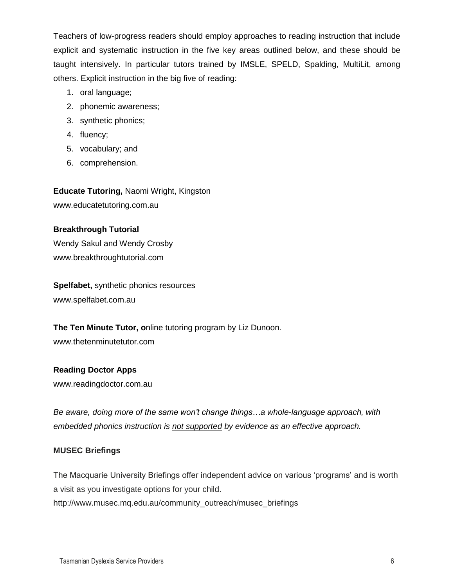Teachers of low-progress readers should employ approaches to reading instruction that include explicit and systematic instruction in the five key areas outlined below, and these should be taught intensively. In particular tutors trained by IMSLE, SPELD, Spalding, MultiLit, among others. Explicit instruction in the big five of reading:

- 1. oral language;
- 2. phonemic awareness;
- 3. synthetic phonics;
- 4. fluency;
- 5. vocabulary; and
- 6. comprehension.

**Educate Tutoring,** Naomi Wright, Kingston [www.educatetutoring.com.au](http://www.educatetutoring.com.au/)

## **Breakthrough Tutorial**

Wendy Sakul and Wendy Crosby [www.breakthroughtutorial.com](http://www.breakthroughtutorial.com/)

**Spelfabet,** synthetic phonics resources [www.spelfabet.com.au](http://www.spelfabet.com.au/)

**The Ten Minute Tutor, o**nline tutoring program by Liz Dunoon.

www.thetenminutetutor.com

## **Reading Doctor Apps**

[www.readingdoctor.com.au](http://www.readingdoctor.com.au/)

*Be aware, doing more of the same won't change things…a whole-language approach, with embedded phonics instruction is not supported by evidence as an effective approach.*

## **MUSEC Briefings**

The Macquarie University Briefings offer independent advice on various 'programs' and is worth a visit as you investigate options for your child.

http://www.musec.mq.edu.au/community\_outreach/musec\_briefings